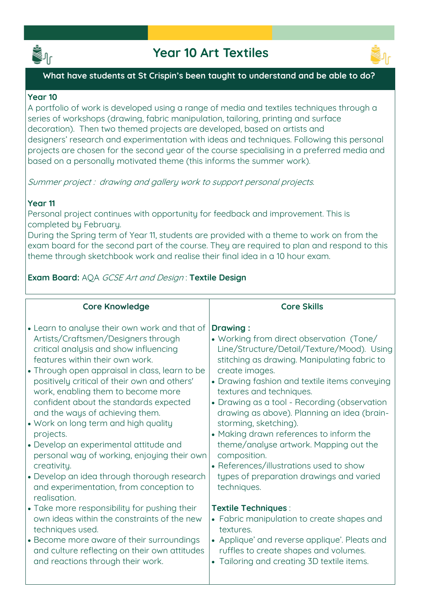



### **What have students at St Crispin's been taught to understand and be able to do?**

### **Year 10**

**A portfolio of work is developed using a range of media and textiles techniques through a series of workshops (drawing, fabric manipulation, tailoring, printing and surface decoration). Then two themed projects are developed, based on artists and designers' research and experimentation with ideas and techniques. Following this personal projects are chosen for the second year of the course specialising in a preferred media and based on a personally motivated theme (this informs the summer work).**

**Summer project : drawing and gallery work to support personal projects.**

### **Year 11**

**Personal project continues with opportunity for feedback and improvement. This is completed by February.** 

**During the Spring term of Year 11, students are provided with a theme to work on from the exam board for the second part of the course. They are required to plan and respond to this theme through sketchbook work and realise their final idea in a 10 hour exam.**

### **Exam Board: AQA GCSE Art and Design : Textile Design**

| <b>Core Knowledge</b>                                                                                                                                                                                                                                                                                                                                                                                                                                                                                                                                                                                                                                         | <b>Core Skills</b>                                                                                                                                                                                                                                                                                                                                                                                                                                                                                                                                                                          |
|---------------------------------------------------------------------------------------------------------------------------------------------------------------------------------------------------------------------------------------------------------------------------------------------------------------------------------------------------------------------------------------------------------------------------------------------------------------------------------------------------------------------------------------------------------------------------------------------------------------------------------------------------------------|---------------------------------------------------------------------------------------------------------------------------------------------------------------------------------------------------------------------------------------------------------------------------------------------------------------------------------------------------------------------------------------------------------------------------------------------------------------------------------------------------------------------------------------------------------------------------------------------|
| • Learn to analyse their own work and that of<br>Artists/Craftsmen/Designers through<br>critical analysis and show influencing<br>features within their own work.<br>• Through open appraisal in class, learn to be<br>positively critical of their own and others'<br>work, enabling them to become more<br>confident about the standards expected<br>and the ways of achieving them.<br>• Work on long term and high quality<br>projects.<br>• Develop an experimental attitude and<br>personal way of working, enjoying their own<br>creativity.<br>• Develop an idea through thorough research<br>and experimentation, from conception to<br>realisation. | <b>Drawing:</b><br>• Working from direct observation (Tone/<br>Line/Structure/Detail/Texture/Mood). Using<br>stitching as drawing. Manipulating fabric to<br>create images.<br>• Drawing fashion and textile items conveying<br>textures and techniques.<br>• Drawing as a tool - Recording (observation<br>drawing as above). Planning an idea (brain-<br>storming, sketching).<br>• Making drawn references to inform the<br>theme/analyse artwork. Mapping out the<br>composition.<br>• References/illustrations used to show<br>types of preparation drawings and varied<br>techniques. |
| • Take more responsibility for pushing their<br>own ideas within the constraints of the new<br>techniques used.<br>• Become more aware of their surroundings<br>and culture reflecting on their own attitudes<br>and reactions through their work.                                                                                                                                                                                                                                                                                                                                                                                                            | <b>Textile Techniques:</b><br>• Fabric manipulation to create shapes and<br>textures.<br>• Applique' and reverse applique'. Pleats and<br>ruffles to create shapes and volumes.<br>• Tailoring and creating 3D textile items.                                                                                                                                                                                                                                                                                                                                                               |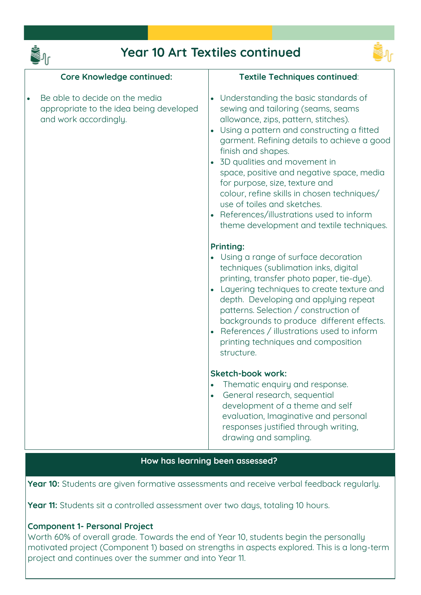

## **Year 10 Art Textiles continued**



| <b>Core Knowledge continued:</b>                                                                   | Textile Techniques continued:                                                                                                                                                                                                                                                                                                                                                                                                                                                                                                 |
|----------------------------------------------------------------------------------------------------|-------------------------------------------------------------------------------------------------------------------------------------------------------------------------------------------------------------------------------------------------------------------------------------------------------------------------------------------------------------------------------------------------------------------------------------------------------------------------------------------------------------------------------|
| Be able to decide on the media<br>appropriate to the idea being developed<br>and work accordingly. | • Understanding the basic standards of<br>sewing and tailoring (seams, seams<br>allowance, zips, pattern, stitches).<br>Using a pattern and constructing a fitted<br>garment. Refining details to achieve a good<br>finish and shapes.<br>• 3D qualities and movement in<br>space, positive and negative space, media<br>for purpose, size, texture and<br>colour, refine skills in chosen techniques/<br>use of toiles and sketches.<br>References/illustrations used to inform<br>theme development and textile techniques. |
|                                                                                                    | <b>Printing:</b><br>Using a range of surface decoration<br>techniques (sublimation inks, digital<br>printing, transfer photo paper, tie-dye).<br>Layering techniques to create texture and<br>depth. Developing and applying repeat<br>patterns. Selection / construction of<br>backgrounds to produce different effects.<br>References / illustrations used to inform<br>printing techniques and composition<br>structure.                                                                                                   |
|                                                                                                    | <b>Sketch-book work:</b><br>Thematic enquiry and response.<br>General research, sequential<br>$\bullet$<br>development of a theme and self<br>evaluation, Imaginative and personal<br>responses justified through writing,<br>drawing and sampling.                                                                                                                                                                                                                                                                           |

### **How has learning been assessed?**

**Year 10: Students are given formative assessments and receive verbal feedback regularly.**

**Year 11: Students sit a controlled assessment over two days, totaling 10 hours.**

### **Component 1- Personal Project**

**Worth 60% of overall grade. Towards the end of Year 10, students begin the personally motivated project (Component 1) based on strengths in aspects explored. This is a long-term project and continues over the summer and into Year 11.**